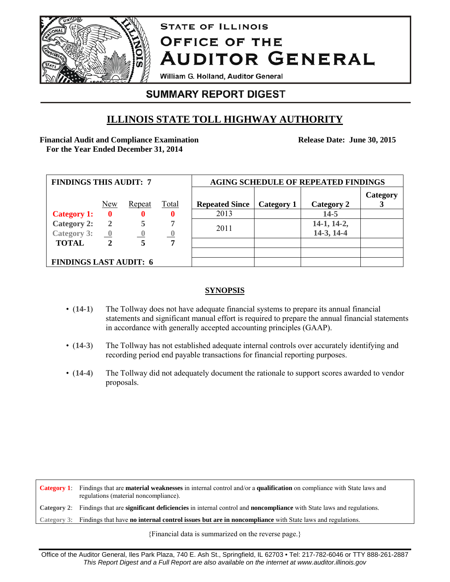

# **STATE OF ILLINOIS OFFICE OF THE AUDITOR GENERAL**

William G. Holland, Auditor General

# **SUMMARY REPORT DIGEST**

# **ILLINOIS STATE TOLL HIGHWAY AUTHORITY**

**Financial Audit and Compliance Examination For the Year Ended December 31, 2014** 

**Release Date: June 30, 2015**

| <b>FINDINGS THIS AUDIT: 7</b> |                         |          |              | <b>AGING SCHEDULE OF REPEATED FINDINGS</b> |            |               |          |
|-------------------------------|-------------------------|----------|--------------|--------------------------------------------|------------|---------------|----------|
|                               | New                     | Repeat   | <b>Total</b> | <b>Repeated Since</b>                      | Category 1 | Category 2    | Category |
| <b>Category 1:</b>            | 0                       | 0        | 0            | 2013                                       |            | $14 - 5$      |          |
| <b>Category 2:</b>            | $\overline{2}$          |          |              |                                            |            | $14-1, 14-2,$ |          |
| <b>Category 3:</b>            | $\overline{\mathbf{0}}$ | $\theta$ |              | 2011                                       |            | 14-3, 14-4    |          |
| <b>TOTAL</b>                  | $\mathbf{2}$            |          | 7            |                                            |            |               |          |
|                               |                         |          |              |                                            |            |               |          |
| <b>FINDINGS LAST AUDIT: 6</b> |                         |          |              |                                            |            |               |          |

# **SYNOPSIS**

- (**14-1**) The Tollway does not have adequate financial systems to prepare its annual financial statements and significant manual effort is required to prepare the annual financial statements in accordance with generally accepted accounting principles (GAAP).
- (14-3) The Tollway has not established adequate internal controls over accurately identifying and recording period end payable transactions for financial reporting purposes.
- (**14-4**) The Tollway did not adequately document the rationale to support scores awarded to vendor proposals.

**Category 1**: Findings that are **material weaknesses** in internal control and/or a **qualification** on compliance with State laws and regulations (material noncompliance). **Category 2**: Findings that are **significant deficiencies** in internal control and **noncompliance** with State laws and regulations. **Category 3**: Findings that have **no internal control issues but are in noncompliance** with State laws and regulations.

{Financial data is summarized on the reverse page.}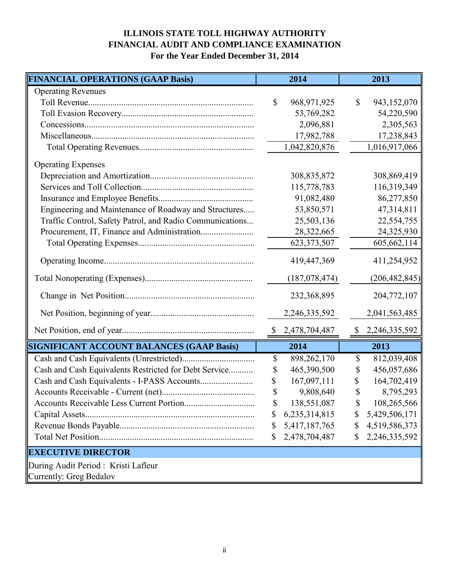# **ILLINOIS STATE TOLL HIGHWAY AUTHORITY FINANCIAL AUDIT AND COMPLIANCE EXAMINATION For the Year Ended December 31, 2014**

| <b>FINANCIAL OPERATIONS (GAAP Basis)</b>                 | 2014                     | 2013                        |
|----------------------------------------------------------|--------------------------|-----------------------------|
| <b>Operating Revenues</b>                                |                          |                             |
|                                                          | \$<br>968,971,925        | $\mathbb{S}$<br>943,152,070 |
|                                                          | 53,769,282               | 54,220,590                  |
|                                                          | 2,096,881                | 2,305,563                   |
|                                                          | 17,982,788               | 17,238,843                  |
|                                                          | 1,042,820,876            | 1,016,917,066               |
| <b>Operating Expenses</b>                                |                          |                             |
|                                                          | 308,835,872              | 308,869,419                 |
|                                                          | 115,778,783              | 116,319,349                 |
|                                                          | 91,082,480               | 86,277,850                  |
| Engineering and Maintenance of Roadway and Structures    | 53,850,571               | 47,314,811                  |
| Traffic Control, Safety Patrol, and Radio Communications | 25,503,136               | 22,554,755                  |
|                                                          | 28,322,665               | 24,325,930                  |
|                                                          | 623, 373, 507            | 605,662,114                 |
|                                                          | 419,447,369              | 411,254,952                 |
|                                                          | (187, 078, 474)          | (206, 482, 845)             |
|                                                          | 232,368,895              | 204,772,107                 |
|                                                          | 2,246,335,592            | 2,041,563,485               |
|                                                          | \$2,478,704,487          | $\frac{$2,246,335,592}{}$   |
| SIGNIFICANT ACCOUNT BALANCES (GAAP Basis)                | 2014                     | 2013                        |
|                                                          | 898,262,170<br>\$        | 812,039,408<br>\$           |
| Cash and Cash Equivalents Restricted for Debt Service    | 465,390,500<br>\$        | 456,057,686<br>\$           |
|                                                          | 167,097,111<br>\$        | 164,702,419<br>S            |
|                                                          | $\mathbf S$<br>9,808,640 | 8,795,293<br>\$             |
|                                                          | 138,551,087<br>\$        | 108,265,566<br>\$           |
|                                                          | 6,235,314,815<br>\$      | 5,429,506,171<br>\$         |
|                                                          | 5,417,187,765<br>\$      | 4,519,586,373<br>\$         |
|                                                          | 2,478,704,487<br>\$      | 2,246,335,592<br>\$         |
| <b>EXECUTIVE DIRECTOR</b>                                |                          |                             |
| During Audit Period: Kristi Lafleur                      |                          |                             |
| Currently: Greg Bedalov                                  |                          |                             |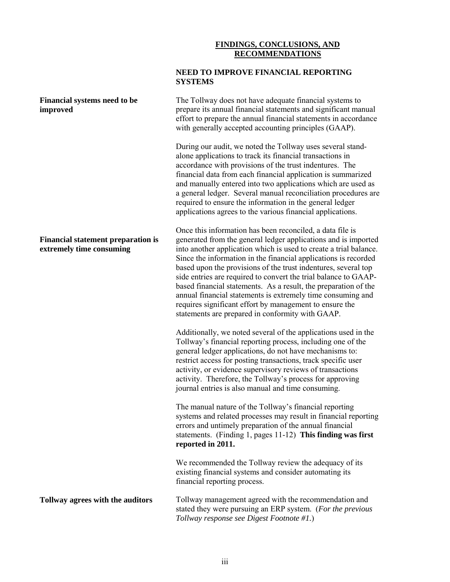## **FINDINGS, CONCLUSIONS, AND RECOMMENDATIONS**

| NEED TO IMPROVE FINANCIAL REPORTING |
|-------------------------------------|
| <b>SYSTEMS</b>                      |

| <b>Financial systems need to be</b><br>improved                       | The Tollway does not have adequate financial systems to<br>prepare its annual financial statements and significant manual<br>effort to prepare the annual financial statements in accordance<br>with generally accepted accounting principles (GAAP).                                                                                                                                                                                                                                                                                                                                                                                                     |
|-----------------------------------------------------------------------|-----------------------------------------------------------------------------------------------------------------------------------------------------------------------------------------------------------------------------------------------------------------------------------------------------------------------------------------------------------------------------------------------------------------------------------------------------------------------------------------------------------------------------------------------------------------------------------------------------------------------------------------------------------|
|                                                                       | During our audit, we noted the Tollway uses several stand-<br>alone applications to track its financial transactions in<br>accordance with provisions of the trust indentures. The<br>financial data from each financial application is summarized<br>and manually entered into two applications which are used as<br>a general ledger. Several manual reconciliation procedures are<br>required to ensure the information in the general ledger<br>applications agrees to the various financial applications.                                                                                                                                            |
| <b>Financial statement preparation is</b><br>extremely time consuming | Once this information has been reconciled, a data file is<br>generated from the general ledger applications and is imported<br>into another application which is used to create a trial balance.<br>Since the information in the financial applications is recorded<br>based upon the provisions of the trust indentures, several top<br>side entries are required to convert the trial balance to GAAP-<br>based financial statements. As a result, the preparation of the<br>annual financial statements is extremely time consuming and<br>requires significant effort by management to ensure the<br>statements are prepared in conformity with GAAP. |
|                                                                       | Additionally, we noted several of the applications used in the<br>Tollway's financial reporting process, including one of the<br>general ledger applications, do not have mechanisms to:<br>restrict access for posting transactions, track specific user<br>activity, or evidence supervisory reviews of transactions<br>activity. Therefore, the Tollway's process for approving<br>journal entries is also manual and time consuming.                                                                                                                                                                                                                  |
|                                                                       | The manual nature of the Tollway's financial reporting<br>systems and related processes may result in financial reporting<br>errors and untimely preparation of the annual financial<br>statements. (Finding 1, pages $11-12$ ) This finding was first<br>reported in 2011.                                                                                                                                                                                                                                                                                                                                                                               |
|                                                                       | We recommended the Tollway review the adequacy of its<br>existing financial systems and consider automating its<br>financial reporting process.                                                                                                                                                                                                                                                                                                                                                                                                                                                                                                           |
| Tollway agrees with the auditors                                      | Tollway management agreed with the recommendation and<br>stated they were pursuing an ERP system. (For the previous<br>Tollway response see Digest Footnote #1.)                                                                                                                                                                                                                                                                                                                                                                                                                                                                                          |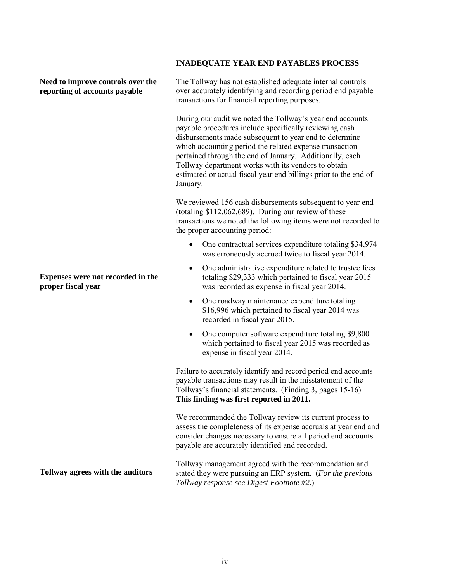# **Need to improve controls over the reporting of accounts payable**

**Expenses were not recorded in the proper fiscal year**

**Tollway agrees with the auditors**

### **INADEQUATE YEAR END PAYABLES PROCESS**

The Tollway has not established adequate internal controls over accurately identifying and recording period end payable transactions for financial reporting purposes.

During our audit we noted the Tollway's year end accounts payable procedures include specifically reviewing cash disbursements made subsequent to year end to determine which accounting period the related expense transaction pertained through the end of January. Additionally, each Tollway department works with its vendors to obtain estimated or actual fiscal year end billings prior to the end of January.

We reviewed 156 cash disbursements subsequent to year end (totaling \$112,062,689). During our review of these transactions we noted the following items were not recorded to the proper accounting period:

- One contractual services expenditure totaling \$34,974 was erroneously accrued twice to fiscal year 2014.
- One administrative expenditure related to trustee fees totaling \$29,333 which pertained to fiscal year 2015 was recorded as expense in fiscal year 2014.
- One roadway maintenance expenditure totaling \$16,996 which pertained to fiscal year 2014 was recorded in fiscal year 2015.
- One computer software expenditure totaling \$9,800 which pertained to fiscal year 2015 was recorded as expense in fiscal year 2014.

Failure to accurately identify and record period end accounts payable transactions may result in the misstatement of the Tollway's financial statements. (Finding 3, pages 15-16) **This finding was first reported in 2011.**

We recommended the Tollway review its current process to assess the completeness of its expense accruals at year end and consider changes necessary to ensure all period end accounts payable are accurately identified and recorded.

Tollway management agreed with the recommendation and stated they were pursuing an ERP system. (*For the previous Tollway response see Digest Footnote #2.*)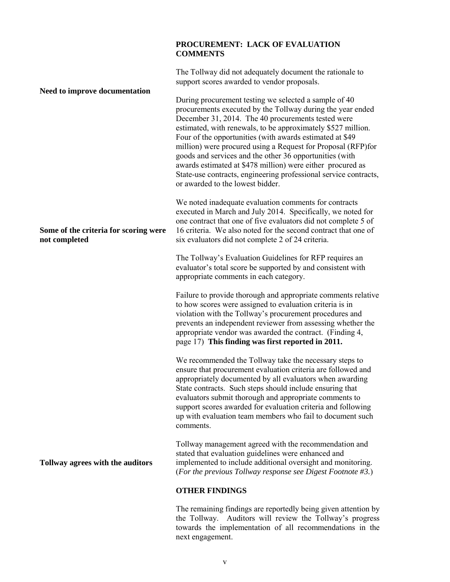### **PROCUREMENT: LACK OF EVALUATION COMMENTS**

**Need to improve documentation Some of the criteria for scoring were not completed Tollway agrees with the auditors** The Tollway did not adequately document the rationale to support scores awarded to vendor proposals. During procurement testing we selected a sample of 40 procurements executed by the Tollway during the year ended December 31, 2014. The 40 procurements tested were estimated, with renewals, to be approximately \$527 million. Four of the opportunities (with awards estimated at \$49 million) were procured using a Request for Proposal (RFP)for goods and services and the other 36 opportunities (with awards estimated at \$478 million) were either procured as State-use contracts, engineering professional service contracts, or awarded to the lowest bidder. We noted inadequate evaluation comments for contracts executed in March and July 2014. Specifically, we noted for one contract that one of five evaluators did not complete 5 of 16 criteria. We also noted for the second contract that one of six evaluators did not complete 2 of 24 criteria. The Tollway's Evaluation Guidelines for RFP requires an evaluator's total score be supported by and consistent with appropriate comments in each category. Failure to provide thorough and appropriate comments relative to how scores were assigned to evaluation criteria is in violation with the Tollway's procurement procedures and prevents an independent reviewer from assessing whether the appropriate vendor was awarded the contract. (Finding 4, page 17) **This finding was first reported in 2011.** We recommended the Tollway take the necessary steps to ensure that procurement evaluation criteria are followed and appropriately documented by all evaluators when awarding State contracts. Such steps should include ensuring that evaluators submit thorough and appropriate comments to support scores awarded for evaluation criteria and following up with evaluation team members who fail to document such comments. Tollway management agreed with the recommendation and stated that evaluation guidelines were enhanced and implemented to include additional oversight and monitoring. (*For the previous Tollway response see Digest Footnote #3.*) **OTHER FINDINGS** The remaining findings are reportedly being given attention by

> the Tollway. Auditors will review the Tollway's progress towards the implementation of all recommendations in the next engagement.